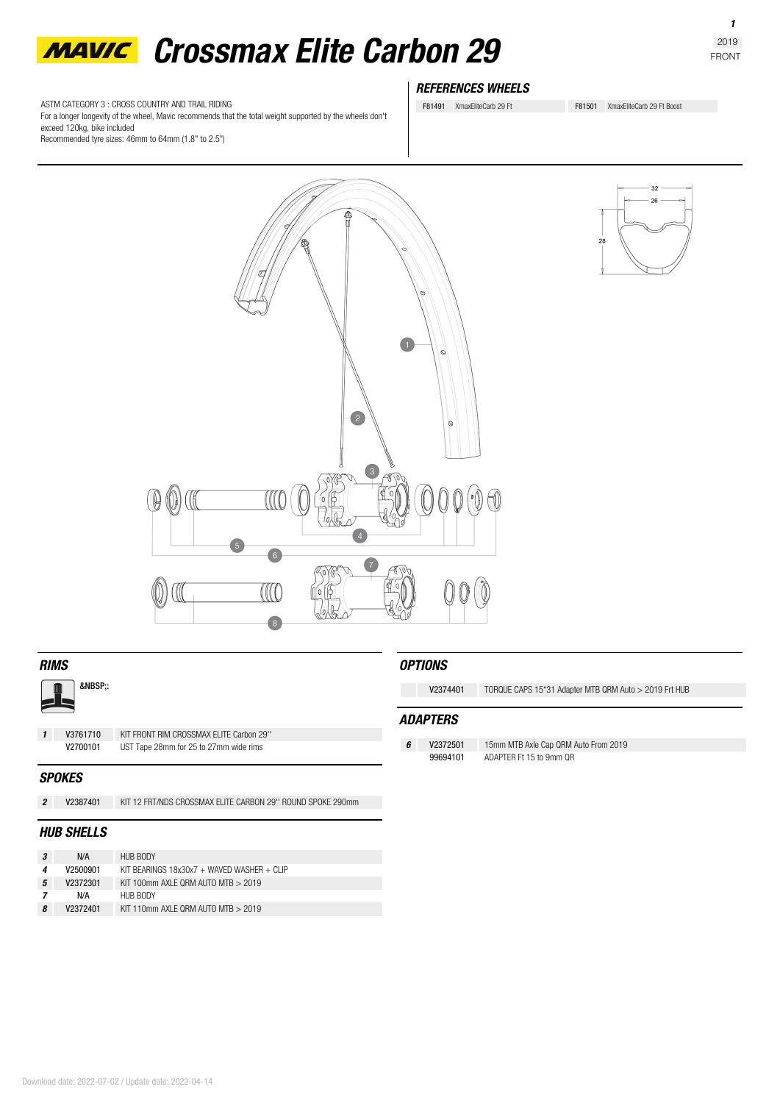

ASTM CATEGORY 3 : CROSS COUNTRY AND TRAIL RIDING For a longer longevity of the wheel, Mavic recommends that the total weight supported by the wheels don't exceed 120kg, bike included Recommended tyre sizes: 46mm to 64mm (1.8" to 2.5")

# *REFERENCES WHEELS*

F81491 XmaxEliteCarb 29 Ft F81501 XmaxEliteCarb 29 Ft Boost

 $\sqrt{1}$  $\circ$  $\overline{2}$  $\mathbb{C}$ ( s  $\sqrt{10}$  $\left( \frac{1}{2} \right)$  $\sqrt{6}$ UC.  $\overline{\mathbf{3}}$ 



:

**1 V3761710** KIT FRONT RIM CROSSMAX ELITE Carbon 29'<br>**V2700101** UST Tape 28mm for 25 to 27mm wide rims **V2700101** UST Tape 28mm for 25 to 27mm wide rims

#### *SPOKES*

*2* **V2387401** KIT 12 FRT/NDS CROSSMAX ELITE CARBON 29'' ROUND SPOKE 290mm

## *HUB SHELLS*

|   | N/A      | HUB BODY                                   |
|---|----------|--------------------------------------------|
|   | V2500901 | KIT BEARINGS 18x30x7 + WAVED WASHER + CLIP |
| 5 | V2372301 | KIT 100mm AXI F ORM AUTO MTB $>$ 2019      |
|   | N/A      | HUB BODY                                   |
| 8 | V2372401 | KIT 110mm AXI F ORM AUTO MTB $> 2019$      |

## *OPTIONS*

**V2374401** TORQUE CAPS 15\*31 Adapter MTB QRM Auto > 2019 Frt HUB

## *ADAPTERS*

*6* **V2372501** 15mm MTB Axle Cap QRM Auto From 2019 ADAPTER Ft 15 to 9mm QR

*1*